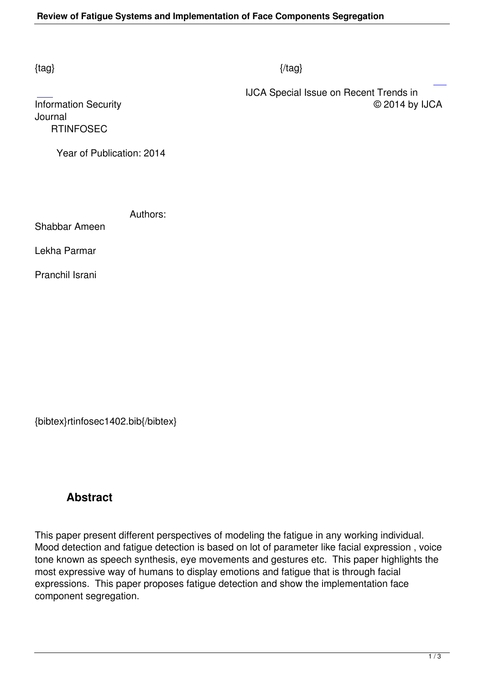## $\{tag\}$

 IJCA Special Issue on Recent Trends in Information Security © 2014 by IJCA

Journal  [R](http://research.ijcaonline.org/rtinfosec/number1/rtinfosec1402.pdf)TINFOSEC

Year of Publication: 2014

Authors:

Shabbar Ameen

Lekha Parmar

Pranchil Israni

{bibtex}rtinfosec1402.bib{/bibtex}

## **Abstract**

This paper present different perspectives of modeling the fatigue in any working individual. Mood detection and fatigue detection is based on lot of parameter like facial expression , voice tone known as speech synthesis, eye movements and gestures etc. This paper highlights the most expressive way of humans to display emotions and fatigue that is through facial expressions. This paper proposes fatigue detection and show the implementation face component segregation.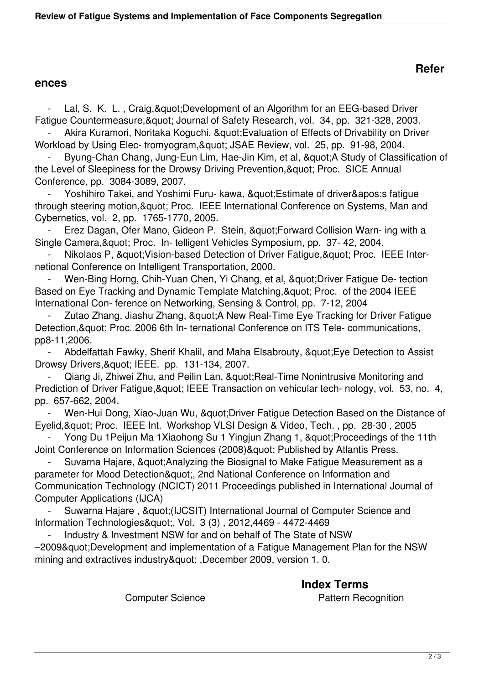## **ences**

Lal, S. K. L., Craig, & quot; Development of an Algorithm for an EEG-based Driver Fatigue Countermeasure, & quot; Journal of Safety Research, vol. 34, pp. 321-328, 2003.

Akira Kuramori, Noritaka Koguchi, " Evaluation of Effects of Drivability on Driver Workload by Using Elec- tromyogram, & quot; JSAE Review, vol. 25, pp. 91-98, 2004.

Byung-Chan Chang, Jung-Eun Lim, Hae-Jin Kim, et al, "A Study of Classification of the Level of Sleepiness for the Drowsy Driving Prevention, & quot; Proc. SICE Annual Conference, pp. 3084-3089, 2007.

Yoshihiro Takei, and Yoshimi Furu- kawa, " Estimate of driver' sfatique through steering motion, & quot; Proc. IEEE International Conference on Systems, Man and Cybernetics, vol. 2, pp. 1765-1770, 2005.

Erez Dagan, Ofer Mano, Gideon P. Stein, " Forward Collision Warn- ing with a Single Camera, & quot; Proc. In- telligent Vehicles Symposium, pp. 37- 42, 2004.

Nikolaos P, & quot; Vision-based Detection of Driver Fatigue, & quot; Proc. IEEE Internetional Conference on Intelligent Transportation, 2000.

Wen-Bing Horng, Chih-Yuan Chen, Yi Chang, et al, " Driver Fatigue De- tection Based on Eye Tracking and Dynamic Template Matching, & quot; Proc. of the 2004 IEEE International Con- ference on Networking, Sensing & Control, pp. 7-12, 2004

Zutao Zhang, Jiashu Zhang, & quot; A New Real-Time Eye Tracking for Driver Fatigue Detection, & quot; Proc. 2006 6th In- ternational Conference on ITS Tele- communications, pp8-11,2006.

Abdelfattah Fawky, Sherif Khalil, and Maha Elsabrouty, & quot: Eye Detection to Assist Drowsy Drivers, & quot; IEEE. pp. 131-134, 2007.

Qiang Ji, Zhiwei Zhu, and Peilin Lan, " Real-Time Nonintrusive Monitoring and Prediction of Driver Fatigue, & quot; IEEE Transaction on vehicular tech- nology, vol. 53, no. 4, pp. 657-662, 2004.

Wen-Hui Dong, Xiao-Juan Wu, " Driver Fatigue Detection Based on the Distance of Eyelid, & quot; Proc. IEEE Int. Workshop VLSI Design & Video, Tech., pp. 28-30, 2005

Yong Du 1Peijun Ma 1Xiaohong Su 1 Yingjun Zhang 1, " Proceedings of the 11th Joint Conference on Information Sciences (2008) & quot; Published by Atlantis Press.

Suvarna Hajare, & quot; Analyzing the Biosignal to Make Fatigue Measurement as a parameter for Mood Detection", 2nd National Conference on Information and Communication Technology (NCICT) 2011 Proceedings published in International Journal of Computer Applications (IJCA)

Suwarna Hajare, & 8 au at: (IJCSIT) International Journal of Computer Science and Information Technologies", Vol. 3 (3), 2012,4469 - 4472-4469

Industry & Investment NSW for and on behalf of The State of NSW -2009" Development and implementation of a Fatigue Management Plan for the NSW mining and extractives industry" ,December 2009, version 1.0.

> **Index Terms**  Computer Science **Pattern Recognition**

## **Refer**